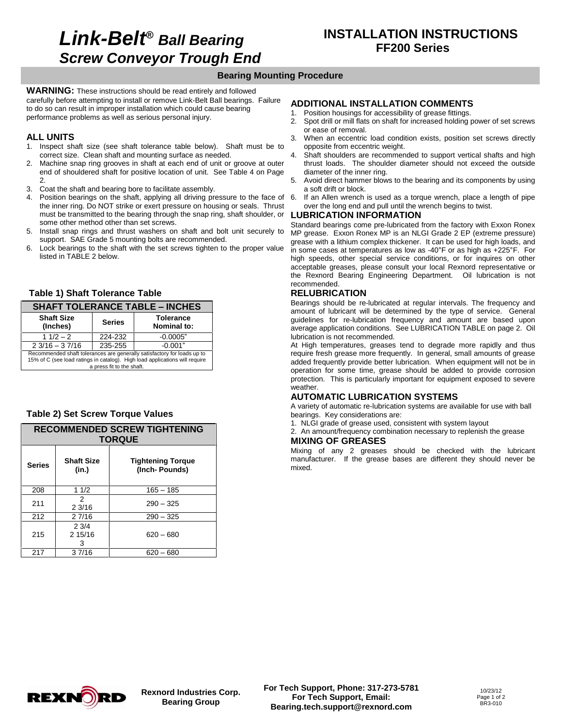# **Link-Belt***<sup>Æ</sup>* **Ball Bearing Screw Conveyor Trough End**

### **Bearing Mounting Procedure**

**WARNING:** These instructions should be read entirely and followed carefully before attempting to install or remove Link-Belt Ball bearings. Failure to do so can result in improper installation which could cause bearing performance problems as well as serious personal injury.

#### **ALL UNITS**

- 1. Inspect shaft size (see shaft tolerance table below). Shaft must be to correct size. Clean shaft and mounting surface as needed.
- 2. Machine snap ring grooves in shaft at each end of unit or groove at outer end of shouldered shaft for positive location of unit. See Table 4 on Page 2.
- 3. Coat the shaft and bearing bore to facilitate assembly.
- 4. Position bearings on the shaft, applying all driving pressure to the face of the inner ring. Do NOT strike or exert pressure on housing or seals. Thrust must be transmitted to the bearing through the snap ring, shaft shoulder, or some other method other than set screws.
- 5. Install snap rings and thrust washers on shaft and bolt unit securely to support. SAE Grade 5 mounting bolts are recommended.
- 6. Lock bearings to the shaft with the set screws tighten to the proper value  $\frac{1}{10}$  some cases at temperatures as low as -40°F or as high as +225°F. For listed in TABLE 2 below.

#### **Table 1) Shaft Tolerance Table**

| <b>Table 1) Shaft Tolerance Table</b>                                                                                                                                               |               |                                 |  |  |
|-------------------------------------------------------------------------------------------------------------------------------------------------------------------------------------|---------------|---------------------------------|--|--|
| <b>SHAFT TOLERANCE TABLE - INCHES</b>                                                                                                                                               |               |                                 |  |  |
| <b>Shaft Size</b><br>(Inches)                                                                                                                                                       | <b>Series</b> | <b>Tolerance</b><br>Nominal to: |  |  |
| $11/2 - 2$                                                                                                                                                                          | 224-232       | $-0.0005"$                      |  |  |
| $23/16 - 37/16$                                                                                                                                                                     | 235-255       | $-0.001"$                       |  |  |
| Recommended shaft tolerances are generally satisfactory for loads up to<br>15% of C (see load ratings in catalog). High load applications will require<br>a press fit to the shaft. |               |                                 |  |  |

#### **Table 2) Set Screw Torque Values**

| <b>RECOMMENDED SCREW TIGHTENING</b><br><b>TORQUE</b> |                                                                         |             |  |
|------------------------------------------------------|-------------------------------------------------------------------------|-------------|--|
| <b>Series</b>                                        | <b>Shaft Size</b><br><b>Tightening Torque</b><br>(Inch-Pounds)<br>(in.) |             |  |
| 208                                                  | 11/2                                                                    | $165 - 185$ |  |
| 211                                                  | 2<br>23/16                                                              | $290 - 325$ |  |
| 212                                                  | 2 7/16                                                                  | $290 - 325$ |  |
| 215                                                  | 23/4<br>2.15/16<br>з                                                    | $620 - 680$ |  |
| 217                                                  | 37/16                                                                   | $620 - 680$ |  |

#### **ADDITIONAL INSTALLATION COMMENTS**

- 1. Position housings for accessibility of grease fittings.
- 2. Spot drill or mill flats on shaft for increased holding power of set screws or ease of removal.
- 3. When an eccentric load condition exists, position set screws directly opposite from eccentric weight.
- Shaft shoulders are recommended to support vertical shafts and high thrust loads. The shoulder diameter should not exceed the outside diameter of the inner ring.
- 5. Avoid direct hammer blows to the bearing and its components by using a soft drift or block.
- If an Allen wrench is used as a torque wrench, place a length of pipe over the long end and pull until the wrench begins to twist.

#### **LUBRICATION INFORMATION**

Standard bearings come pre-lubricated from the factory with Exxon Ronex MP grease. Exxon Ronex MP is an NLGI Grade 2 EP (extreme pressure) grease with a lithium complex thickener. It can be used for high loads, and In Prease. Exxon Ronex MP is an NLGI Grade 2 EP (extreme pressure) grease with a lithium complex thickener. It can be used for high loads, and in some cases at temperatures as low as  $-40^{\circ}$  F or as high as  $+225^{\circ}$ F. high speeds, other special service conditions, or for inquires on other acceptable greases, please consult your local Rexnord representative or the Rexnord Bearing Engineering Department. Oil lubrication is not recommended.

### **RELUBRICATION**

Bearings should be re-lubricated at regular intervals. The frequency and amount of lubricant will be determined by the type of service. General guidelines for re-lubrication frequency and amount are based upon average application conditions. See LUBRICATION TABLE on page 2. Oil lubrication is not recommended.

At High temperatures, greases tend to degrade more rapidly and thus require fresh grease more frequently. In general, small amounts of grease added frequently provide better lubrication. When equipment will not be in operation for some time, grease should be added to provide corrosion protection. This is particularly important for equipment exposed to severe weather.

#### **AUTOMATIC LUBRICATION SYSTEMS**

A variety of automatic re-lubrication systems are available for use with ball bearings. Key considerations are:

1. NLGI grade of grease used, consistent with system layout

2. An amount/frequency combination necessary to replenish the grease **MIXING OF GREASES**

Mixing of any 2 greases should be checked with the lubricant manufacturer. If the grease bases are different they should never be mixed.